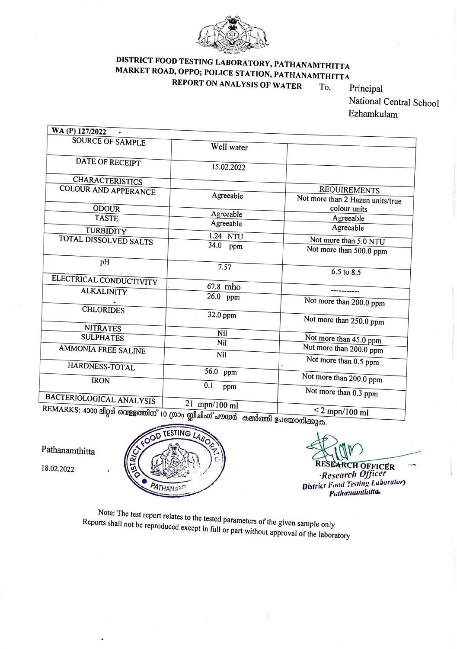

## DISTRICT FOOD TESTING LABORATORY, PATHANAMTHITTA MARKET ROAD, OPPO; POLICE STATION, PATHANAMTHITTA REPORT ON ANALYSIS OF WATER To,

Principal National Central School Ezhamkulam

| WA (P) 127/2022                                             |               |                                                         |
|-------------------------------------------------------------|---------------|---------------------------------------------------------|
| <b>SOURCE OF SAMPLE</b>                                     | Well water    |                                                         |
| DATE OF RECEIPT                                             | 15.02.2022    |                                                         |
| <b>CHARACTERISTICS</b>                                      |               |                                                         |
| COLOUR AND APPERANCE                                        | Agreeable     | <b>REQUIREMENTS</b><br>Not more than 2 Hazen units/true |
| <b>ODOUR</b>                                                | Agreeable     | colour units                                            |
| <b>TASTE</b>                                                | Agreeable     | Agreeable                                               |
| TURBIDITY                                                   | 1.24 NTU      | Agreeable                                               |
| TOTAL DISSOLVED SALTS                                       | 34.0 ppm      | Not more than 5.0 NTU                                   |
|                                                             |               | Not more than 500.0 ppm                                 |
| pH                                                          | 7.57          | 6.5 to 8.5                                              |
| ELECTRICAL CONDUCTIVITY                                     |               |                                                         |
| <b>ALKALINITY</b>                                           | 67.8 mho      |                                                         |
|                                                             | 26.0 ppm      | Not more than 200.0 ppm                                 |
| <b>CHLORIDES</b>                                            | 32.0 ppm      | Not more than 250.0 ppm                                 |
| <b>NITRATES</b>                                             | Nil           |                                                         |
| <b>SULPHATES</b>                                            | Nil           | Not more than 45.0 ppm                                  |
| AMMONIA FREE SALINE                                         | Nil           | Not more than 200.0 ppm                                 |
|                                                             |               | Not more than 0.5 ppm                                   |
| HARDNESS-TOTAL                                              | 56.0 ppm      | Not more than 200.0 ppm                                 |
| <b>IRON</b>                                                 | 0.1<br>ppm    |                                                         |
| <b>BACTERIOLOGICAL ANALYSIS</b>                             |               | Not more than 0.3 ppm                                   |
| REMARKS: 4000 ലിറർ വെള്ളത്തിന് 10 ശാപ്രമീപിംഗ് പൗസർ . ഉഷ്ണി | 21 mpn/100 ml |                                                         |
|                                                             |               | $<$ 2 mpn/100 ml                                        |

KS: 4000 ലിറ്റർ വെള്ളത്തിന് 10 ഗ്രാം ബ്ലീചിംഗ് പൗഡർ കലർത്തി ഉപയോഗിക്കുക.

RESEARCH OFFICER

Research Officer **District Food Testing Laboratory Pathanamthitta** 



Pathanamthitta

18.02.2022

Note: The test report relates to the tested parameters of the given sample only Reports shall not be reproduced except in full or part without approval of the laboratory